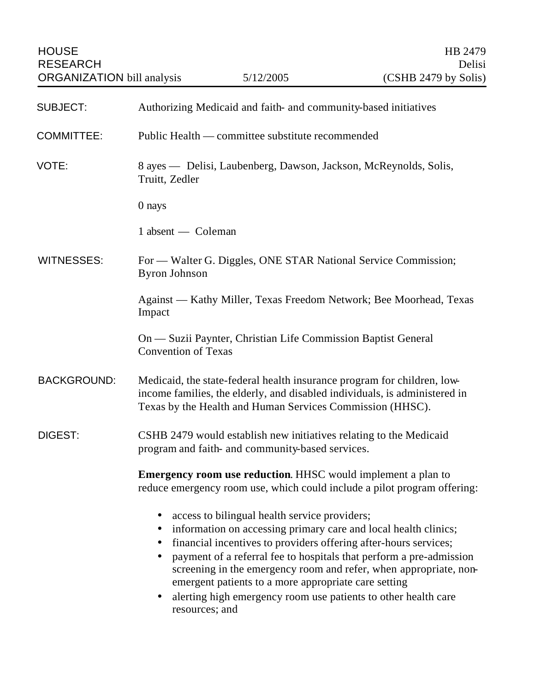| <b>SUBJECT:</b>    | Authorizing Medicaid and faith- and community-based initiatives                                                                                                                                                                                                                                                                                                                                                                                                                           |
|--------------------|-------------------------------------------------------------------------------------------------------------------------------------------------------------------------------------------------------------------------------------------------------------------------------------------------------------------------------------------------------------------------------------------------------------------------------------------------------------------------------------------|
| <b>COMMITTEE:</b>  | Public Health — committee substitute recommended                                                                                                                                                                                                                                                                                                                                                                                                                                          |
| VOTE:              | 8 ayes — Delisi, Laubenberg, Dawson, Jackson, McReynolds, Solis,<br>Truitt, Zedler                                                                                                                                                                                                                                                                                                                                                                                                        |
|                    | $0$ nays                                                                                                                                                                                                                                                                                                                                                                                                                                                                                  |
|                    | 1 absent — Coleman                                                                                                                                                                                                                                                                                                                                                                                                                                                                        |
| WITNESSES:         | For — Walter G. Diggles, ONE STAR National Service Commission;<br><b>Byron Johnson</b>                                                                                                                                                                                                                                                                                                                                                                                                    |
|                    | Against — Kathy Miller, Texas Freedom Network; Bee Moorhead, Texas<br>Impact                                                                                                                                                                                                                                                                                                                                                                                                              |
|                    | On — Suzii Paynter, Christian Life Commission Baptist General<br><b>Convention of Texas</b>                                                                                                                                                                                                                                                                                                                                                                                               |
| <b>BACKGROUND:</b> | Medicaid, the state-federal health insurance program for children, low-<br>income families, the elderly, and disabled individuals, is administered in<br>Texas by the Health and Human Services Commission (HHSC).                                                                                                                                                                                                                                                                        |
| DIGEST:            | CSHB 2479 would establish new initiatives relating to the Medicaid<br>program and faith- and community-based services.                                                                                                                                                                                                                                                                                                                                                                    |
|                    | <b>Emergency room use reduction.</b> HHSC would implement a plan to<br>reduce emergency room use, which could include a pilot program offering:                                                                                                                                                                                                                                                                                                                                           |
|                    | access to bilingual health service providers;<br>information on accessing primary care and local health clinics;<br>$\bullet$<br>financial incentives to providers offering after-hours services;<br>payment of a referral fee to hospitals that perform a pre-admission<br>screening in the emergency room and refer, when appropriate, non-<br>emergent patients to a more appropriate care setting<br>alerting high emergency room use patients to other health care<br>resources; and |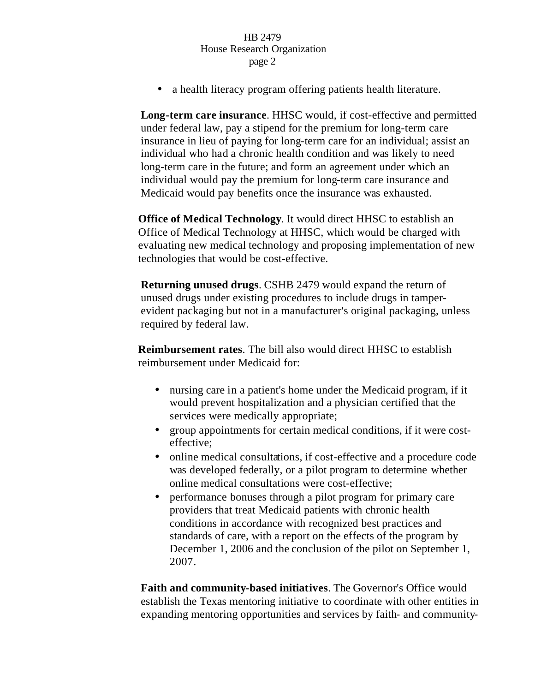## HB 2479 House Research Organization page 2

• a health literacy program offering patients health literature.

**Long-term care insurance**. HHSC would, if cost-effective and permitted under federal law, pay a stipend for the premium for long-term care insurance in lieu of paying for long-term care for an individual; assist an individual who had a chronic health condition and was likely to need long-term care in the future; and form an agreement under which an individual would pay the premium for long-term care insurance and Medicaid would pay benefits once the insurance was exhausted.

**Office of Medical Technology**. It would direct HHSC to establish an Office of Medical Technology at HHSC, which would be charged with evaluating new medical technology and proposing implementation of new technologies that would be cost-effective.

**Returning unused drugs**. CSHB 2479 would expand the return of unused drugs under existing procedures to include drugs in tamperevident packaging but not in a manufacturer's original packaging, unless required by federal law.

**Reimbursement rates**. The bill also would direct HHSC to establish reimbursement under Medicaid for:

- nursing care in a patient's home under the Medicaid program, if it would prevent hospitalization and a physician certified that the services were medically appropriate;
- group appointments for certain medical conditions, if it were costeffective;
- online medical consultations, if cost-effective and a procedure code was developed federally, or a pilot program to determine whether online medical consultations were cost-effective;
- performance bonuses through a pilot program for primary care providers that treat Medicaid patients with chronic health conditions in accordance with recognized best practices and standards of care, with a report on the effects of the program by December 1, 2006 and the conclusion of the pilot on September 1, 2007.

**Faith and community-based initiatives**. The Governor's Office would establish the Texas mentoring initiative to coordinate with other entities in expanding mentoring opportunities and services by faith- and community-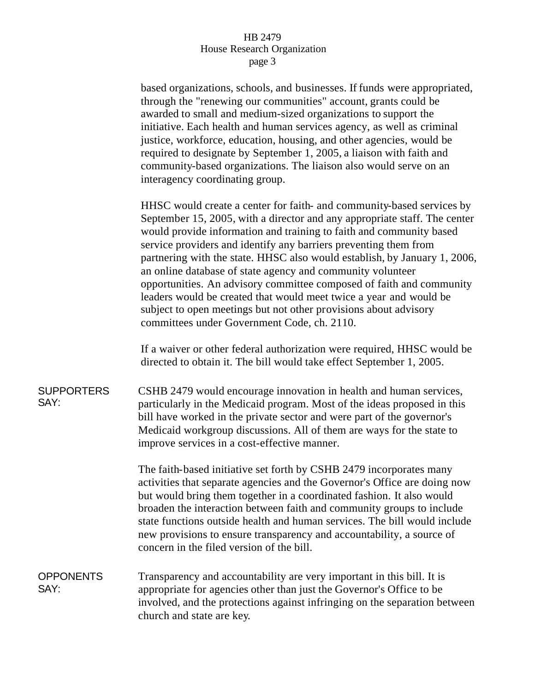## HB 2479 House Research Organization page 3

based organizations, schools, and businesses. If funds were appropriated, through the "renewing our communities" account, grants could be awarded to small and medium-sized organizations to support the initiative. Each health and human services agency, as well as criminal justice, workforce, education, housing, and other agencies, would be required to designate by September 1, 2005, a liaison with faith and community-based organizations. The liaison also would serve on an interagency coordinating group.

HHSC would create a center for faith- and community-based services by September 15, 2005, with a director and any appropriate staff. The center would provide information and training to faith and community based service providers and identify any barriers preventing them from partnering with the state. HHSC also would establish, by January 1, 2006, an online database of state agency and community volunteer opportunities. An advisory committee composed of faith and community leaders would be created that would meet twice a year and would be subject to open meetings but not other provisions about advisory committees under Government Code, ch. 2110.

If a waiver or other federal authorization were required, HHSC would be directed to obtain it. The bill would take effect September 1, 2005.

**SUPPORTERS** SAY: CSHB 2479 would encourage innovation in health and human services, particularly in the Medicaid program. Most of the ideas proposed in this bill have worked in the private sector and were part of the governor's Medicaid workgroup discussions. All of them are ways for the state to improve services in a cost-effective manner.

> The faith-based initiative set forth by CSHB 2479 incorporates many activities that separate agencies and the Governor's Office are doing now but would bring them together in a coordinated fashion. It also would broaden the interaction between faith and community groups to include state functions outside health and human services. The bill would include new provisions to ensure transparency and accountability, a source of concern in the filed version of the bill.

## **OPPONENTS** SAY: Transparency and accountability are very important in this bill. It is appropriate for agencies other than just the Governor's Office to be involved, and the protections against infringing on the separation between church and state are key.